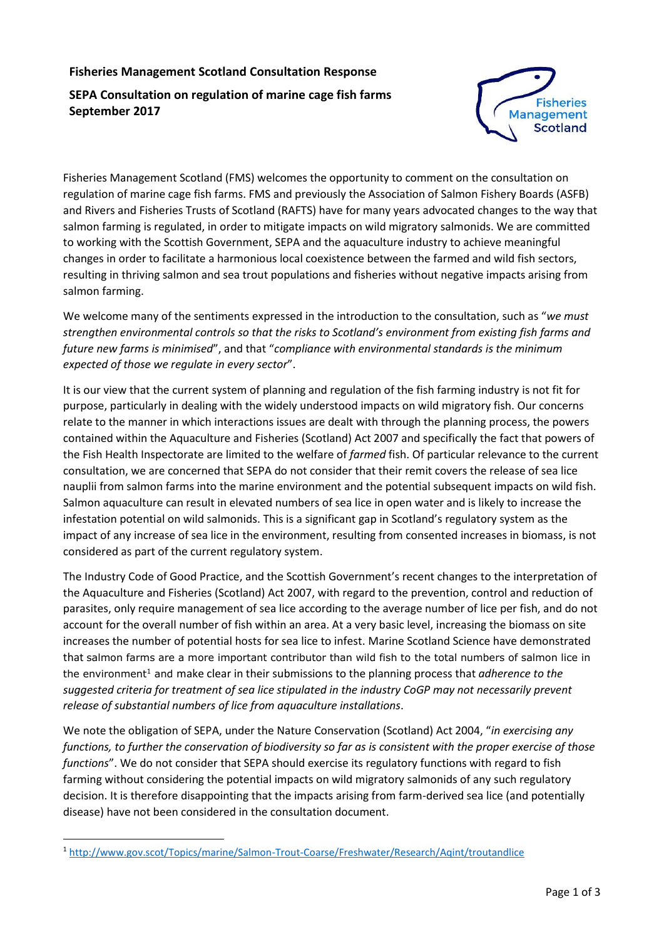# **Fisheries Management Scotland Consultation Response**

# **SEPA Consultation on regulation of marine cage fish farms September 2017**



Fisheries Management Scotland (FMS) welcomes the opportunity to comment on the consultation on regulation of marine cage fish farms. FMS and previously the Association of Salmon Fishery Boards (ASFB) and Rivers and Fisheries Trusts of Scotland (RAFTS) have for many years advocated changes to the way that salmon farming is regulated, in order to mitigate impacts on wild migratory salmonids. We are committed to working with the Scottish Government, SEPA and the aquaculture industry to achieve meaningful changes in order to facilitate a harmonious local coexistence between the farmed and wild fish sectors, resulting in thriving salmon and sea trout populations and fisheries without negative impacts arising from salmon farming.

We welcome many of the sentiments expressed in the introduction to the consultation, such as "*we must strengthen environmental controls so that the risks to Scotland's environment from existing fish farms and future new farms is minimised*", and that "*compliance with environmental standards is the minimum expected of those we regulate in every sector*".

It is our view that the current system of planning and regulation of the fish farming industry is not fit for purpose, particularly in dealing with the widely understood impacts on wild migratory fish. Our concerns relate to the manner in which interactions issues are dealt with through the planning process, the powers contained within the Aquaculture and Fisheries (Scotland) Act 2007 and specifically the fact that powers of the Fish Health Inspectorate are limited to the welfare of *farmed* fish. Of particular relevance to the current consultation, we are concerned that SEPA do not consider that their remit covers the release of sea lice nauplii from salmon farms into the marine environment and the potential subsequent impacts on wild fish. Salmon aquaculture can result in elevated numbers of sea lice in open water and is likely to increase the infestation potential on wild salmonids. This is a significant gap in Scotland's regulatory system as the impact of any increase of sea lice in the environment, resulting from consented increases in biomass, is not considered as part of the current regulatory system.

The Industry Code of Good Practice, and the Scottish Government's recent changes to the interpretation of the Aquaculture and Fisheries (Scotland) Act 2007, with regard to the prevention, control and reduction of parasites, only require management of sea lice according to the average number of lice per fish, and do not account for the overall number of fish within an area. At a very basic level, increasing the biomass on site increases the number of potential hosts for sea lice to infest. Marine Scotland Science have demonstrated that salmon farms are a more important contributor than wild fish to the total numbers of salmon lice in the environment<sup>1</sup> and make clear in their submissions to the planning process that *adherence to the suggested criteria for treatment of sea lice stipulated in the industry CoGP may not necessarily prevent release of substantial numbers of lice from aquaculture installations*.

We note the obligation of SEPA, under the Nature Conservation (Scotland) Act 2004, "*in exercising any functions, to further the conservation of biodiversity so far as is consistent with the proper exercise of those functions*". We do not consider that SEPA should exercise its regulatory functions with regard to fish farming without considering the potential impacts on wild migratory salmonids of any such regulatory decision. It is therefore disappointing that the impacts arising from farm-derived sea lice (and potentially disease) have not been considered in the consultation document.

**.** 

<sup>1</sup> <http://www.gov.scot/Topics/marine/Salmon-Trout-Coarse/Freshwater/Research/Aqint/troutandlice>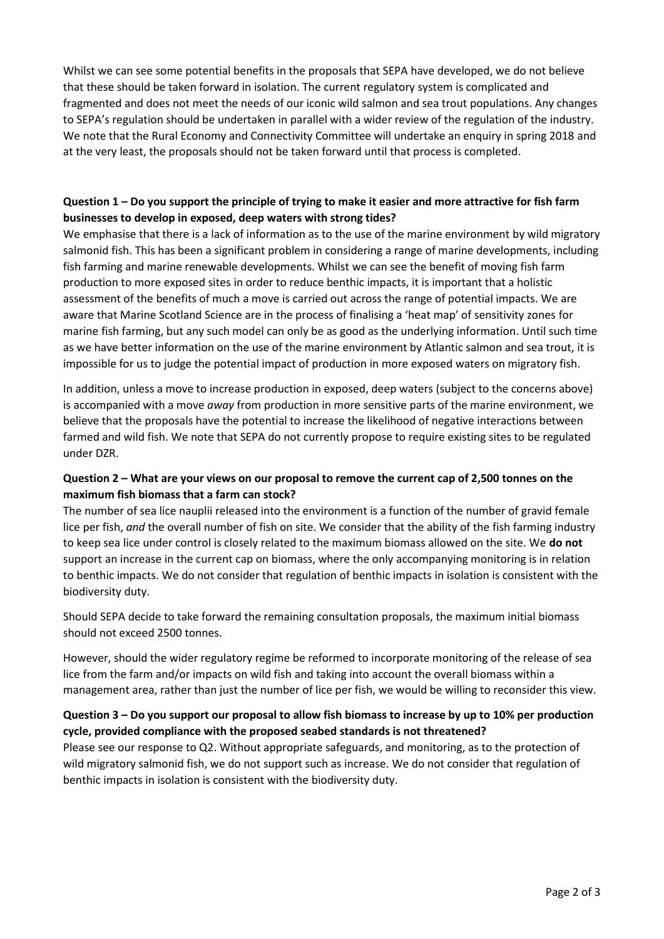Whilst we can see some potential benefits in the proposals that SEPA have developed, we do not believe that these should be taken forward in isolation. The current regulatory system is complicated and fragmented and does not meet the needs of our iconic wild salmon and sea trout populations. Any changes to SEPA's regulation should be undertaken in parallel with a wider review of the regulation of the industry. We note that the Rural Economy and Connectivity Committee will undertake an enquiry in spring 2018 and at the very least, the proposals should not be taken forward until that process is completed.

## **Question 1 – Do you support the principle of trying to make it easier and more attractive for fish farm businesses to develop in exposed, deep waters with strong tides?**

We emphasise that there is a lack of information as to the use of the marine environment by wild migratory salmonid fish. This has been a significant problem in considering a range of marine developments, including fish farming and marine renewable developments. Whilst we can see the benefit of moving fish farm production to more exposed sites in order to reduce benthic impacts, it is important that a holistic assessment of the benefits of much a move is carried out across the range of potential impacts. We are aware that Marine Scotland Science are in the process of finalising a 'heat map' of sensitivity zones for marine fish farming, but any such model can only be as good as the underlying information. Until such time as we have better information on the use of the marine environment by Atlantic salmon and sea trout, it is impossible for us to judge the potential impact of production in more exposed waters on migratory fish.

In addition, unless a move to increase production in exposed, deep waters (subject to the concerns above) is accompanied with a move *away* from production in more sensitive parts of the marine environment, we believe that the proposals have the potential to increase the likelihood of negative interactions between farmed and wild fish. We note that SEPA do not currently propose to require existing sites to be regulated under DZR.

#### **Question 2 – What are your views on our proposal to remove the current cap of 2,500 tonnes on the maximum fish biomass that a farm can stock?**

The number of sea lice nauplii released into the environment is a function of the number of gravid female lice per fish, *and* the overall number of fish on site. We consider that the ability of the fish farming industry to keep sea lice under control is closely related to the maximum biomass allowed on the site. We **do not** support an increase in the current cap on biomass, where the only accompanying monitoring is in relation to benthic impacts. We do not consider that regulation of benthic impacts in isolation is consistent with the biodiversity duty.

Should SEPA decide to take forward the remaining consultation proposals, the maximum initial biomass should not exceed 2500 tonnes.

However, should the wider regulatory regime be reformed to incorporate monitoring of the release of sea lice from the farm and/or impacts on wild fish and taking into account the overall biomass within a management area, rather than just the number of lice per fish, we would be willing to reconsider this view.

#### **Question 3 – Do you support our proposal to allow fish biomass to increase by up to 10% per production cycle, provided compliance with the proposed seabed standards is not threatened?**

Please see our response to Q2. Without appropriate safeguards, and monitoring, as to the protection of wild migratory salmonid fish, we do not support such as increase. We do not consider that regulation of benthic impacts in isolation is consistent with the biodiversity duty.